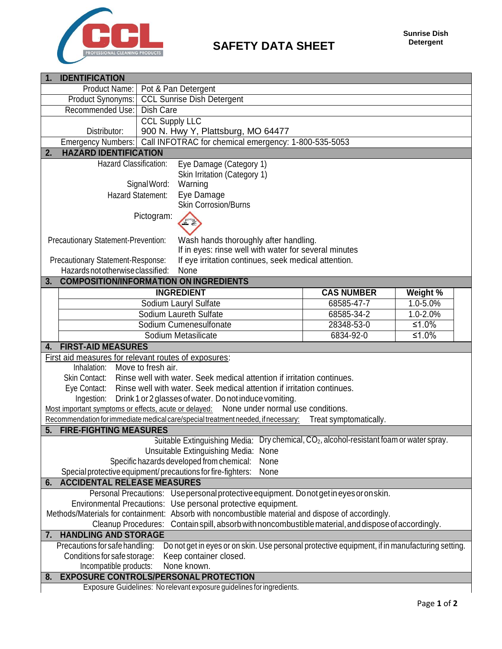

| <b>IDENTIFICATION</b>                                                                     |                                                   |                                                                                                                       |                        |              |  |  |
|-------------------------------------------------------------------------------------------|---------------------------------------------------|-----------------------------------------------------------------------------------------------------------------------|------------------------|--------------|--|--|
| Product Name:                                                                             |                                                   | Pot & Pan Detergent                                                                                                   |                        |              |  |  |
| Product Synonyms:                                                                         | <b>CCL Sunrise Dish Detergent</b>                 |                                                                                                                       |                        |              |  |  |
| Recommended Use:                                                                          | <b>Dish Care</b>                                  |                                                                                                                       |                        |              |  |  |
|                                                                                           | <b>CCL Supply LLC</b>                             |                                                                                                                       |                        |              |  |  |
| Distributor:                                                                              |                                                   | 900 N. Hwy Y, Plattsburg, MO 64477                                                                                    |                        |              |  |  |
| Emergency Numbers:                                                                        |                                                   | Call INFOTRAC for chemical emergency: 1-800-535-5053                                                                  |                        |              |  |  |
| <b>HAZARD IDENTIFICATION</b><br>2.                                                        |                                                   |                                                                                                                       |                        |              |  |  |
|                                                                                           | Hazard Classification:<br>Eye Damage (Category 1) |                                                                                                                       |                        |              |  |  |
|                                                                                           | Skin Irritation (Category 1)                      |                                                                                                                       |                        |              |  |  |
|                                                                                           | Signal Word:<br>Warning                           |                                                                                                                       |                        |              |  |  |
|                                                                                           | Hazard Statement:                                 | Eye Damage                                                                                                            |                        |              |  |  |
|                                                                                           |                                                   | Skin Corrosion/Burns                                                                                                  |                        |              |  |  |
|                                                                                           | Pictogram:                                        |                                                                                                                       |                        |              |  |  |
|                                                                                           |                                                   | <b>V</b>                                                                                                              |                        |              |  |  |
| Precautionary Statement-Prevention:                                                       |                                                   | Wash hands thoroughly after handling.                                                                                 |                        |              |  |  |
|                                                                                           |                                                   | If in eyes: rinse well with water for several minutes                                                                 |                        |              |  |  |
| If eye irritation continues, seek medical attention.<br>Precautionary Statement-Response: |                                                   |                                                                                                                       |                        |              |  |  |
| Hazards not otherwise classified:<br>None                                                 |                                                   |                                                                                                                       |                        |              |  |  |
| <b>COMPOSITION/INFORMATION ON INGREDIENTS</b><br>3.                                       |                                                   |                                                                                                                       |                        |              |  |  |
|                                                                                           |                                                   | <b>INGREDIENT</b>                                                                                                     | <b>CAS NUMBER</b>      | Weight %     |  |  |
|                                                                                           |                                                   | Sodium Lauryl Sulfate                                                                                                 | 68585-47-7             | $1.0 - 5.0%$ |  |  |
|                                                                                           |                                                   | Sodium Laureth Sulfate                                                                                                | 68585-34-2             | $1.0 - 2.0%$ |  |  |
|                                                                                           |                                                   | Sodium Cumenesulfonate                                                                                                | 28348-53-0             | ≤1.0%        |  |  |
|                                                                                           |                                                   |                                                                                                                       |                        |              |  |  |
| Sodium Metasilicate<br>6834-92-0<br>≤1.0%                                                 |                                                   |                                                                                                                       |                        |              |  |  |
|                                                                                           |                                                   |                                                                                                                       |                        |              |  |  |
| <b>FIRST-AID MEASURES</b><br>4.                                                           |                                                   |                                                                                                                       |                        |              |  |  |
| First aid measures for relevant routes of exposures:                                      |                                                   |                                                                                                                       |                        |              |  |  |
| Inhalation: Move to fresh air.                                                            |                                                   |                                                                                                                       |                        |              |  |  |
| Skin Contact:                                                                             |                                                   | Rinse well with water. Seek medical attention if irritation continues.                                                |                        |              |  |  |
|                                                                                           |                                                   | Eye Contact: Rinse well with water. Seek medical attention if irritation continues.                                   |                        |              |  |  |
| Ingestion:                                                                                |                                                   | Drink 1 or 2 glasses of water. Do not induce vomiting.                                                                |                        |              |  |  |
|                                                                                           |                                                   | Most important symptoms or effects, acute or delayed: None under normal use conditions.                               |                        |              |  |  |
|                                                                                           |                                                   | Recommendation for immediate medical care/special treatment needed, if necessary:                                     | Treat symptomatically. |              |  |  |
| <b>FIRE-FIGHTING MEASURES</b><br>5.                                                       |                                                   |                                                                                                                       |                        |              |  |  |
|                                                                                           |                                                   | Suitable Extinguishing Media: Dry chemical, CO <sub>2</sub> , alcohol-resistant foam or water spray.                  |                        |              |  |  |
|                                                                                           |                                                   | Unsuitable Extinguishing Media:<br>None                                                                               |                        |              |  |  |
|                                                                                           |                                                   | Specific hazards developed from chemical:<br>None                                                                     |                        |              |  |  |
|                                                                                           |                                                   | Special protective equipment/precautions for fire-fighters:<br>None                                                   |                        |              |  |  |
| <b>ACCIDENTAL RELEASE MEASURES</b><br>6.                                                  |                                                   |                                                                                                                       |                        |              |  |  |
|                                                                                           |                                                   | Personal Precautions: Use personal protective equipment. Do not get in eyes or on skin.                               |                        |              |  |  |
|                                                                                           |                                                   | Environmental Precautions: Use personal protective equipment.                                                         |                        |              |  |  |
|                                                                                           |                                                   | Methods/Materials for containment: Absorb with noncombustible material and dispose of accordingly.                    |                        |              |  |  |
|                                                                                           |                                                   | Cleanup Procedures: Contain spill, absorb with noncombustible material, and dispose of accordingly.                   |                        |              |  |  |
| <b>HANDLING AND STORAGE</b><br>7.                                                         |                                                   |                                                                                                                       |                        |              |  |  |
| Precautions for safe handling:                                                            |                                                   | Do not get in eyes or on skin. Use personal protective equipment, if in manufacturing setting.                        |                        |              |  |  |
| Conditions for safe storage:                                                              |                                                   | Keep container closed.                                                                                                |                        |              |  |  |
| Incompatible products:                                                                    |                                                   | None known.                                                                                                           |                        |              |  |  |
| 8.                                                                                        |                                                   | <b>EXPOSURE CONTROLS/PERSONAL PROTECTION</b><br>Exposure Guidelines: No relevant exposure guidelines for ingredients. |                        |              |  |  |